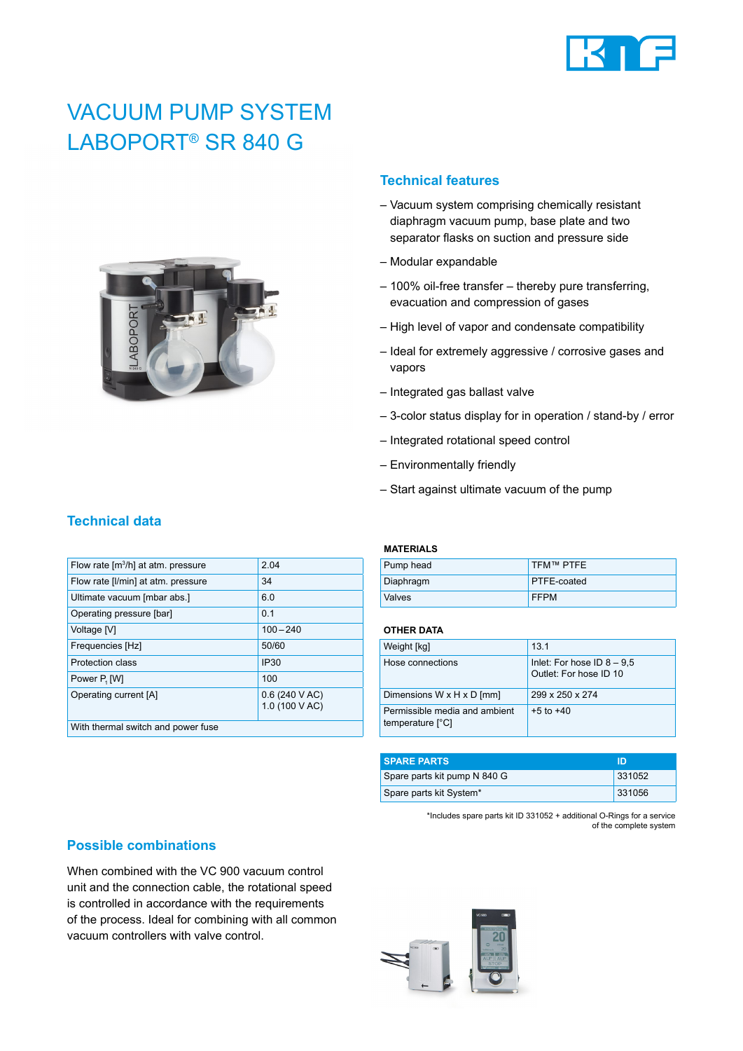

# VACUUM PUMP SYSTEM LABOPORT® SR 840 G



### **Technical features**

- Vacuum system comprising chemically resistant diaphragm vacuum pump, base plate and two separator flasks on suction and pressure side
- Modular expandable
- 100% oil-free transfer thereby pure transferring, evacuation and compression of gases
- High level of vapor and condensate compatibility
- Ideal for extremely aggressive / corrosive gases and vapors
- Integrated gas ballast valve
- 3-color status display for in operation / stand-by / error
- Integrated rotational speed control
- Environmentally friendly
- Start against ultimate vacuum of the pump

| Flow rate [m <sup>3</sup> /h] at atm. pressure | 2.04                           |
|------------------------------------------------|--------------------------------|
| Flow rate [I/min] at atm. pressure             | 34                             |
| Ultimate vacuum [mbar abs.]                    | 6.0                            |
| Operating pressure [bar]                       | 0.1                            |
| Voltage [V]                                    | $100 - 240$                    |
| Frequencies [Hz]                               | 50/60                          |
| Protection class                               | <b>IP30</b>                    |
| Power P <sub>1</sub> [W]                       | 100                            |
| Operating current [A]                          | 0.6(240 VAC)<br>1.0 (100 V AC) |
| With thermal switch and power fuse             |                                |
|                                                |                                |

#### **MATERIALS**

| Pump head     | TFM™ PTFE          |
|---------------|--------------------|
| Diaphragm     | <b>PTFE-coated</b> |
| <b>Valves</b> | <b>FFPM</b>        |

#### **OTHER DATA**

| Weight [kg]                                       | 131                                                    |
|---------------------------------------------------|--------------------------------------------------------|
| Hose connections                                  | Inlet: For hose ID $8 - 9.5$<br>Outlet: For hose ID 10 |
| Dimensions W x H x D [mm]                         | 299 x 250 x 274                                        |
| Permissible media and ambient<br>temperature [°C] | $+5$ to $+40$                                          |

| <b>SPARE PARTS</b>           | חו     |
|------------------------------|--------|
| Spare parts kit pump N 840 G | 331052 |
| Spare parts kit System*      | 331056 |

\*Includes spare parts kit ID 331052 + additional O-Rings for a service of the complete system

#### **Possible combinations**

When combined with the VC 900 vacuum control unit and the connection cable, the rotational speed is controlled in accordance with the requirements of the process. Ideal for combining with all common vacuum controllers with valve control.



# **Technical data**